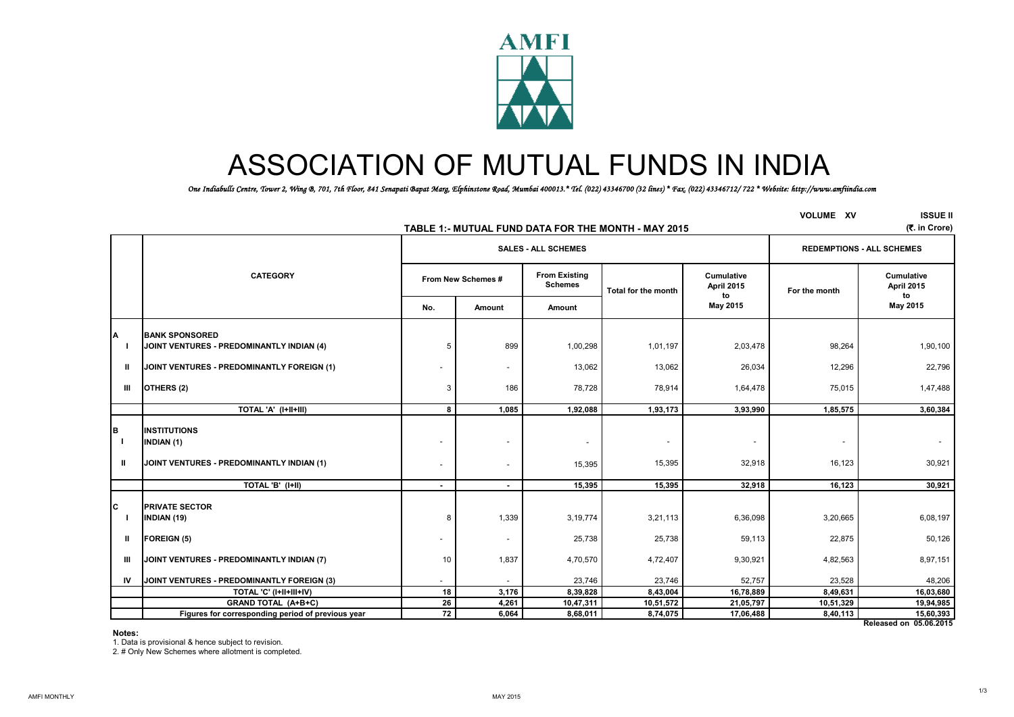

# ASSOCIATION OF MUTUAL FUNDS IN INDIA

*One Indiabulls Centre, Tower 2, Wing B, 701, 7th Floor, 841 Senapati Bapat Marg, Elphinstone Road, Mumbai 400013.\* Tel. (022) 43346700 (32 lines) \* Fax. (022) 43346712/ 722 \* Website: http://www.amfiindia.com*

|                                   | TABLE 1: MUTUAL FUND DATA FOR THE MONTH - MAY 2015                                    | <b>VOLUME XV</b>   | <b>ISSUE II</b><br>(そ. in Crore) |                                        |                                    |                                       |               |                                     |
|-----------------------------------|---------------------------------------------------------------------------------------|--------------------|----------------------------------|----------------------------------------|------------------------------------|---------------------------------------|---------------|-------------------------------------|
|                                   |                                                                                       |                    | <b>SALES - ALL SCHEMES</b>       | <b>REDEMPTIONS - ALL SCHEMES</b>       |                                    |                                       |               |                                     |
|                                   | <b>CATEGORY</b>                                                                       | From New Schemes # |                                  | <b>From Existing</b><br><b>Schemes</b> | Total for the month                | <b>Cumulative</b><br>April 2015<br>to | For the month | Cumulative<br>April 2015<br>to      |
|                                   |                                                                                       | No.                | Amount                           | Amount                                 |                                    | May 2015                              |               | May 2015                            |
| A                                 | <b>BANK SPONSORED</b><br>JOINT VENTURES - PREDOMINANTLY INDIAN (4)                    | 5                  | 899                              | 1,00,298                               | 1,01,197                           | 2,03,478                              | 98,264        | 1,90,100                            |
| Ш                                 | JOINT VENTURES - PREDOMINANTLY FOREIGN (1)                                            |                    | $\overline{\phantom{a}}$         | 13,062                                 | 13,062                             | 26,034                                | 12,296        | 22,796                              |
| Ш                                 | OTHERS (2)                                                                            | 3                  | 186                              | 78,728                                 | 78,914                             | 1,64,478                              | 75,015        | 1,47,488                            |
|                                   | TOTAL 'A' (I+II+III)                                                                  | 8                  | 1,085                            | 1,92,088                               | 1,93,173                           | 3,93,990                              | 1,85,575      | 3,60,384                            |
| B<br>$\mathbf{I}$<br>$\mathbf{H}$ | <b>INSTITUTIONS</b><br><b>INDIAN (1)</b><br>JOINT VENTURES - PREDOMINANTLY INDIAN (1) |                    | $\sim$                           | $\overline{\phantom{a}}$<br>15,395     | $\overline{\phantom{a}}$<br>15,395 | $\overline{\phantom{a}}$<br>32,918    | 16,123        | $\sim$<br>30,921                    |
|                                   | TOTAL 'B' (I+II)                                                                      | $\sim$             | $\sim$                           | 15,395                                 | 15,395                             | 32,918                                | 16,123        | 30,921                              |
| Iс                                | <b>PRIVATE SECTOR</b><br>INDIAN (19)                                                  | 8                  | 1,339                            | 3, 19, 774                             | 3,21,113                           | 6,36,098                              | 3,20,665      | 6,08,197                            |
| ш                                 | <b>FOREIGN (5)</b>                                                                    |                    |                                  | 25,738                                 | 25,738                             | 59,113                                | 22,875        | 50,126                              |
| ш                                 | JOINT VENTURES - PREDOMINANTLY INDIAN (7)                                             | 10                 | 1,837                            | 4,70,570                               | 4,72,407                           | 9,30,921                              | 4,82,563      | 8,97,151                            |
| IV                                | JOINT VENTURES - PREDOMINANTLY FOREIGN (3)                                            |                    | $\sim$                           | 23,746                                 | 23,746                             | 52,757                                | 23,528        | 48,206                              |
|                                   | TOTAL 'C' (I+II+III+IV)                                                               | 18                 | 3,176                            | 8,39,828                               | 8,43,004                           | 16,78,889                             | 8,49,631      | 16,03,680                           |
|                                   | <b>GRAND TOTAL (A+B+C)</b>                                                            | 26                 | 4,261                            | 10,47,311                              | 10,51,572                          | 21,05,797                             | 10,51,329     | 19,94,985                           |
|                                   | Figures for corresponding period of previous year                                     | 72                 | 6,064                            | 8,68,011                               | 8,74,075                           | 17,06,488                             | 8,40,113      | 15,60,393<br>Released on 05.06.2015 |

#### **Notes:**

1. Data is provisional & hence subject to revision.

2. # Only New Schemes where allotment is completed.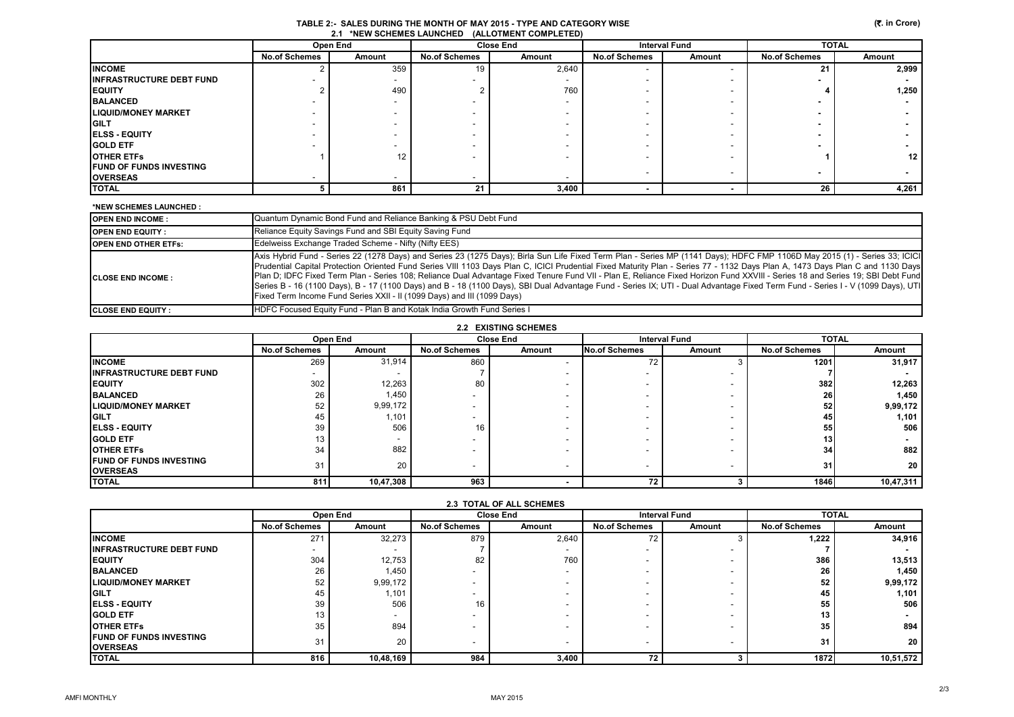|                                 | Open End             |                  | <b>Close End</b>         |        | <b>Interval Fund</b>     |                          | <b>TOTAL</b>         |                 |
|---------------------------------|----------------------|------------------|--------------------------|--------|--------------------------|--------------------------|----------------------|-----------------|
|                                 | <b>No.of Schemes</b> | Amount           | <b>No.of Schemes</b>     | Amount | <b>No.of Schemes</b>     | Amount                   | <b>No.of Schemes</b> | Amount          |
| <b>INCOME</b>                   |                      | 359              | 19                       | 2,640  | $\overline{\phantom{a}}$ | $\overline{\phantom{a}}$ | 21                   | 2,999           |
| <b>INFRASTRUCTURE DEBT FUND</b> |                      |                  |                          |        |                          | $\overline{\phantom{a}}$ |                      |                 |
| <b>EQUITY</b>                   |                      | 490              |                          | 760    |                          | $\overline{\phantom{0}}$ |                      | 1,250           |
| <b>BALANCED</b>                 |                      |                  | -                        |        | -                        | $\overline{\phantom{0}}$ |                      |                 |
| <b>LIQUID/MONEY MARKET</b>      | $\sim$               |                  | -                        |        | -                        | $\overline{\phantom{0}}$ |                      |                 |
| <b>IGILT</b>                    |                      |                  | -                        |        |                          | $\overline{\phantom{0}}$ |                      |                 |
| <b>ELSS - EQUITY</b>            |                      |                  |                          |        |                          | $\overline{\phantom{0}}$ |                      |                 |
| <b>GOLD ETF</b>                 |                      |                  |                          |        |                          | $\overline{\phantom{0}}$ |                      |                 |
| <b>OTHER ETFS</b>               |                      | 12 <sup>12</sup> |                          |        |                          | $\overline{\phantom{0}}$ |                      | 12 <sup>1</sup> |
| <b>FUND OF FUNDS INVESTING</b>  |                      |                  |                          |        | $\overline{\phantom{a}}$ | $\overline{\phantom{0}}$ |                      |                 |
| <b>OVERSEAS</b>                 |                      |                  | $\overline{\phantom{0}}$ |        |                          |                          |                      |                 |
| <b>TOTAL</b>                    |                      | 861              | 21                       | 3,400  |                          |                          | 26                   | 4,261           |

#### **\*NEW SCHEMES LAUNCHED :**

| <b>OPEN END INCOME:</b>     | Quantum Dynamic Bond Fund and Reliance Banking & PSU Debt Fund                                                                                                                                                                                                                                                                                                                                                                                                                                                                                                                                                                                                                                                                                                                                              |
|-----------------------------|-------------------------------------------------------------------------------------------------------------------------------------------------------------------------------------------------------------------------------------------------------------------------------------------------------------------------------------------------------------------------------------------------------------------------------------------------------------------------------------------------------------------------------------------------------------------------------------------------------------------------------------------------------------------------------------------------------------------------------------------------------------------------------------------------------------|
| <b>IOPEN END EQUITY :</b>   | Reliance Equity Savings Fund and SBI Equity Saving Fund                                                                                                                                                                                                                                                                                                                                                                                                                                                                                                                                                                                                                                                                                                                                                     |
| <b>OPEN END OTHER ETFS:</b> | Edelweiss Exchange Traded Scheme - Nifty (Nifty EES)                                                                                                                                                                                                                                                                                                                                                                                                                                                                                                                                                                                                                                                                                                                                                        |
| <b>ICLOSE END INCOME:</b>   | Axis Hybrid Fund - Series 22 (1278 Days) and Series 23 (1275 Days); Birla Sun Life Fixed Term Plan - Series MP (1141 Days); HDFC FMP 1106D May 2015 (1) - Series 33; ICICI<br>Prudential Capital Protection Oriented Fund Series VIII 1103 Days Plan C, ICICI Prudential Fixed Maturity Plan - Series 77 - 1132 Days Plan A, 1473 Days Plan C and 1130 Days<br>Plan D; IDFC Fixed Term Plan - Series 108; Reliance Dual Advantage Fixed Tenure Fund VII - Plan E, Reliance Fixed Horizon Fund XXVIII - Series 18 and Series 19; SBI Debt Fund<br>Series B - 16 (1100 Days), B - 17 (1100 Days) and B - 18 (1100 Days), SBI Dual Advantage Fund - Series IX; UTI - Dual Advantage Fixed Term Fund - Series I - V (1099 Days), UTI<br>Fixed Term Income Fund Series XXII - II (1099 Days) and III (1099 Days) |
| <b>ICLOSE END EQUITY :</b>  | HDFC Focused Equity Fund - Plan B and Kotak India Growth Fund Series I                                                                                                                                                                                                                                                                                                                                                                                                                                                                                                                                                                                                                                                                                                                                      |

| 2.2 EXISTING SCHEMES            |                          |           |                          |        |                          |                          |                      |           |  |
|---------------------------------|--------------------------|-----------|--------------------------|--------|--------------------------|--------------------------|----------------------|-----------|--|
|                                 |                          | Open End  | <b>Close End</b>         |        | <b>Interval Fund</b>     |                          | <b>TOTAL</b>         |           |  |
|                                 | <b>No.of Schemes</b>     | Amount    | <b>No.of Schemes</b>     | Amount | <b>No.of Schemes</b>     | Amount                   | <b>No.of Schemes</b> | Amount    |  |
| <b>INCOME</b>                   | 269                      | 31,914    | 860                      |        | 72                       |                          | 1201                 | 31,917    |  |
| <b>INFRASTRUCTURE DEBT FUND</b> | $\overline{\phantom{a}}$ |           |                          |        |                          |                          |                      |           |  |
| <b>EQUITY</b>                   | 302                      | 12,263    | 80                       |        |                          | -                        | 382                  | 12,263    |  |
| <b>BALANCED</b>                 | 26                       | 1,450     | $\overline{\phantom{a}}$ |        |                          | -                        | 26                   | 1,450     |  |
| <b>LIQUID/MONEY MARKET</b>      | 52                       | 9,99,172  | $\overline{\phantom{0}}$ |        |                          | -                        | 52                   | 9,99,172  |  |
| <b>GILT</b>                     | 45                       | 1,101     | $\overline{\phantom{a}}$ |        |                          | -                        | 45                   | 1,101     |  |
| <b>IELSS - EQUITY</b>           | 39                       | 506       | 16                       |        |                          |                          | 55                   | 506       |  |
| <b>IGOLD ETF</b>                | 13                       |           | $\overline{\phantom{a}}$ |        |                          | -                        | 13                   |           |  |
| <b>OTHER ETFS</b>               | 34                       | 882       | $\overline{\phantom{a}}$ |        |                          |                          | 34                   | 882       |  |
| <b>IFUND OF FUNDS INVESTING</b> | 31                       | 20        | $\overline{\phantom{0}}$ |        | $\overline{\phantom{0}}$ | $\overline{\phantom{a}}$ | 31                   | 20        |  |
| <b>OVERSEAS</b>                 |                          |           |                          |        |                          |                          |                      |           |  |
| <b>TOTAL</b>                    | 811                      | 10,47,308 | 963                      |        | 72                       |                          | 1846                 | 10,47,311 |  |

| 2.3 TOTAL OF ALL SCHEMES         |                          |                          |                          |                          |                          |        |                      |           |  |
|----------------------------------|--------------------------|--------------------------|--------------------------|--------------------------|--------------------------|--------|----------------------|-----------|--|
|                                  | Open End                 |                          | <b>Close End</b>         |                          | <b>Interval Fund</b>     |        | <b>TOTAL</b>         |           |  |
|                                  | <b>No.of Schemes</b>     | Amount                   | <b>No.of Schemes</b>     | Amount                   | <b>No.of Schemes</b>     | Amount | <b>No.of Schemes</b> | Amount    |  |
| <b>INCOME</b>                    | 271                      | 32,273                   | 879                      | 2,640                    | 72                       |        | 1,222                | 34,916    |  |
| <b>IINFRASTRUCTURE DEBT FUND</b> | $\overline{\phantom{0}}$ |                          |                          | -                        | $\overline{\phantom{a}}$ |        |                      |           |  |
| <b>IEQUITY</b>                   | 304                      | 12,753                   | 82                       | 760                      | $\overline{\phantom{a}}$ |        | 386                  | 13,513    |  |
| <b>BALANCED</b>                  | 26                       | 1,450                    |                          | -                        | $\overline{\phantom{a}}$ |        | 26                   | 1,450     |  |
| <b>LIQUID/MONEY MARKET</b>       | 52                       | 9,99,172                 |                          |                          | -                        |        | 52                   | 9,99,172  |  |
| <b>IGILT</b>                     | 45                       | 1,101                    | $\overline{\phantom{a}}$ | -                        | $\overline{\phantom{a}}$ |        | 45                   | 1,101     |  |
| <b>IELSS - EQUITY</b>            | 39                       | 506                      | 16                       |                          | $\overline{\phantom{a}}$ |        | 55                   | 506       |  |
| <b>IGOLD ETF</b>                 | 13                       | $\overline{\phantom{0}}$ | $\overline{\phantom{a}}$ | -                        | $\overline{\phantom{0}}$ |        | 13                   |           |  |
| <b>OTHER ETFS</b>                | 35                       | 894                      |                          |                          | -                        |        | 35                   | 894       |  |
| <b>IFUND OF FUNDS INVESTING</b>  | 31                       | 20                       | $\overline{\phantom{0}}$ | $\overline{\phantom{a}}$ | $\overline{\phantom{a}}$ |        | 31                   | 20        |  |
| <b>OVERSEAS</b>                  |                          |                          |                          |                          |                          |        |                      |           |  |
| <b>ITOTAL</b>                    | 816                      | 10,48,169                | 984                      | 3,400                    | 72                       |        | 1872                 | 10,51,572 |  |